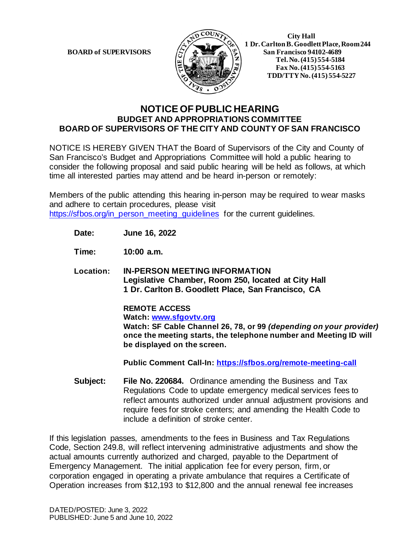**BOARD of SUPERVISORS** 



 **1 Dr. Carlton B. Goodlett Place, Room 244 Tel.No. (415) 554-5184 Fax No. (415) 554-5163 TDD/TTY No. (415) 554-5227**

## **NOTICE OF PUBLIC HEARING BUDGET AND APPROPRIATIONS COMMITTEE BOARD OF SUPERVISORS OF THE CITY AND COUNTY OF SAN FRANCISCO**

NOTICE IS HEREBY GIVEN THAT the Board of Supervisors of the City and County of San Francisco's Budget and Appropriations Committee will hold a public hearing to consider the following proposal and said public hearing will be held as follows, at which time all interested parties may attend and be heard in-person or remotely:

Members of the public attending this hearing in-person may be required to wear masks and adhere to certain procedures, please visit [https://sfbos.org/in\\_person\\_meeting\\_guidelines](https://sfbos.org/in_person_meeting_guidelines) for the current guidelines.

**Date: June 16, 2022**

**Time: 10:00 a.m.**

**Location: IN-PERSON MEETING INFORMATION Legislative Chamber, Room 250, located at City Hall 1 Dr. Carlton B. Goodlett Place, San Francisco, CA**

> **REMOTE ACCESS Watch: [www.sfgovtv.org](http://www.sfgovtv.org/) Watch: SF Cable Channel 26, 78, or 99** *(depending on your provider)*  **once the meeting starts, the telephone number and Meeting ID will be displayed on the screen.**

**Public Comment Call-In:<https://sfbos.org/remote-meeting-call>**

**Subject: File No. 220684.** Ordinance amending the Business and Tax Regulations Code to update emergency medical services fees to reflect amounts authorized under annual adjustment provisions and require fees for stroke centers; and amending the Health Code to include a definition of stroke center.

If this legislation passes, amendments to the fees in Business and Tax Regulations Code, Section 249.8, will reflect intervening administrative adjustments and show the actual amounts currently authorized and charged, payable to the Department of Emergency Management. The initial application fee for every person, firm, or corporation engaged in operating a private ambulance that requires a Certificate of Operation increases from \$12,193 to \$12,800 and the annual renewal fee increases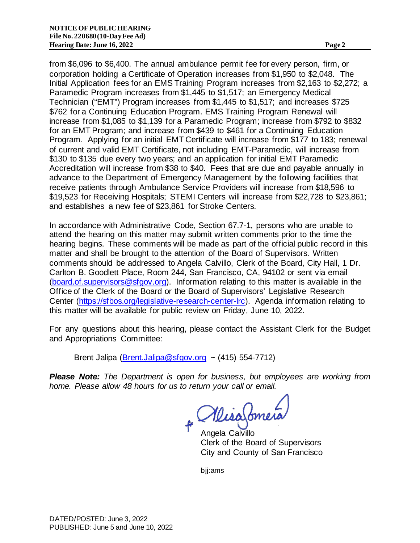from \$6,096 to \$6,400. The annual ambulance permit fee for every person, firm, or corporation holding a Certificate of Operation increases from \$1,950 to \$2,048. The Initial Application fees for an EMS Training Program increases from \$2,163 to \$2,272; a Paramedic Program increases from \$1,445 to \$1,517; an Emergency Medical Technician ("EMT") Program increases from \$1,445 to \$1,517; and increases \$725 \$762 for a Continuing Education Program. EMS Training Program Renewal will increase from \$1,085 to \$1,139 for a Paramedic Program; increase from \$792 to \$832 for an EMT Program; and increase from \$439 to \$461 for a Continuing Education Program. Applying for an initial EMT Certificate will increase from \$177 to 183; renewal of current and valid EMT Certificate, not including EMT-Paramedic, will increase from \$130 to \$135 due every two years; and an application for initial EMT Paramedic Accreditation will increase from \$38 to \$40. Fees that are due and payable annually in advance to the Department of Emergency Management by the following facilities that receive patients through Ambulance Service Providers will increase from \$18,596 to \$19,523 for Receiving Hospitals; STEMI Centers will increase from \$22,728 to \$23,861; and establishes a new fee of \$23,861 for Stroke Centers.

In accordance with Administrative Code, Section 67.7-1, persons who are unable to attend the hearing on this matter may submit written comments prior to the time the hearing begins. These comments will be made as part of the official public record in this matter and shall be brought to the attention of the Board of Supervisors. Written comments should be addressed to Angela Calvillo, Clerk of the Board, City Hall, 1 Dr. Carlton B. Goodlett Place, Room 244, San Francisco, CA, 94102 or sent via email [\(board.of.supervisors@sfgov.org\).](mailto:board.of.supervisors@sfgov.org) Information relating to this matter is available in the Office of the Clerk of the Board or the Board of Supervisors' Legislative Research Center [\(https://sfbos.org/legislative-research-center-lrc\).](https://sfbos.org/legislative-research-center-lrc) Agenda information relating to this matter will be available for public review on Friday, June 10, 2022.

For any questions about this hearing, please contact the Assistant Clerk for the Budget and Appropriations Committee:

Brent Jalipa  $(Brent.Jalipa@stgov.org$  ~ (415) 554-7712)

*Please Note: The Department is open for business, but employees are working from home. Please allow 48 hours for us to return your call or email.* 

Misafonner

Angela Calvillo Clerk of the Board of Supervisors City and County of San Francisco

bjj:ams